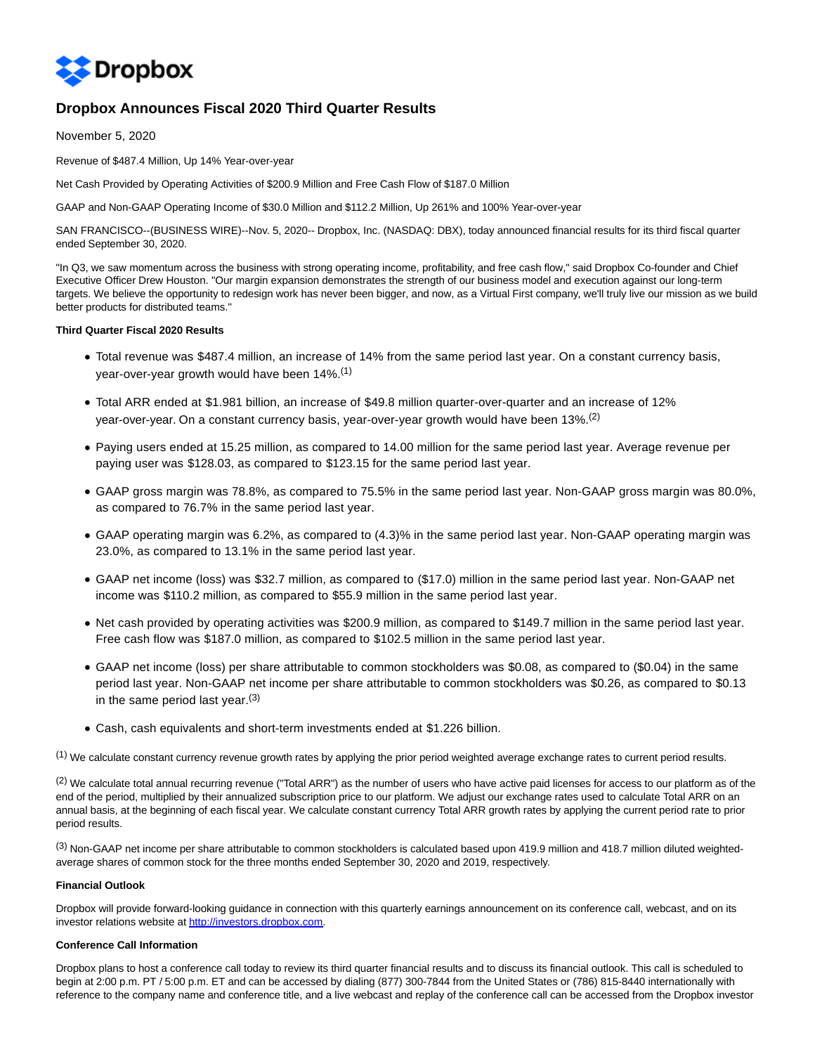

# **Dropbox Announces Fiscal 2020 Third Quarter Results**

November 5, 2020

Revenue of \$487.4 Million, Up 14% Year-over-year

Net Cash Provided by Operating Activities of \$200.9 Million and Free Cash Flow of \$187.0 Million

GAAP and Non-GAAP Operating Income of \$30.0 Million and \$112.2 Million, Up 261% and 100% Year-over-year

SAN FRANCISCO--(BUSINESS WIRE)--Nov. 5, 2020-- Dropbox, Inc. (NASDAQ: DBX), today announced financial results for its third fiscal quarter ended September 30, 2020.

"In Q3, we saw momentum across the business with strong operating income, profitability, and free cash flow," said Dropbox Co-founder and Chief Executive Officer Drew Houston. "Our margin expansion demonstrates the strength of our business model and execution against our long-term targets. We believe the opportunity to redesign work has never been bigger, and now, as a Virtual First company, we'll truly live our mission as we build better products for distributed teams."

### **Third Quarter Fiscal 2020 Results**

- Total revenue was \$487.4 million, an increase of 14% from the same period last year. On a constant currency basis, year-over-year growth would have been 14%.<sup>(1)</sup>
- Total ARR ended at \$1.981 billion, an increase of \$49.8 million quarter-over-quarter and an increase of 12% year-over-year. On a constant currency basis, year-over-year growth would have been 13%.<sup>(2)</sup>
- Paying users ended at 15.25 million, as compared to 14.00 million for the same period last year. Average revenue per paying user was \$128.03, as compared to \$123.15 for the same period last year.
- GAAP gross margin was 78.8%, as compared to 75.5% in the same period last year. Non-GAAP gross margin was 80.0%, as compared to 76.7% in the same period last year.
- GAAP operating margin was 6.2%, as compared to (4.3)% in the same period last year. Non-GAAP operating margin was 23.0%, as compared to 13.1% in the same period last year.
- GAAP net income (loss) was \$32.7 million, as compared to (\$17.0) million in the same period last year. Non-GAAP net income was \$110.2 million, as compared to \$55.9 million in the same period last year.
- Net cash provided by operating activities was \$200.9 million, as compared to \$149.7 million in the same period last year. Free cash flow was \$187.0 million, as compared to \$102.5 million in the same period last year.
- GAAP net income (loss) per share attributable to common stockholders was \$0.08, as compared to (\$0.04) in the same period last year. Non-GAAP net income per share attributable to common stockholders was \$0.26, as compared to \$0.13 in the same period last year. $(3)$
- Cash, cash equivalents and short-term investments ended at \$1.226 billion.

(1) We calculate constant currency revenue growth rates by applying the prior period weighted average exchange rates to current period results.

<sup>(2)</sup> We calculate total annual recurring revenue ("Total ARR") as the number of users who have active paid licenses for access to our platform as of the end of the period, multiplied by their annualized subscription price to our platform. We adjust our exchange rates used to calculate Total ARR on an annual basis, at the beginning of each fiscal year. We calculate constant currency Total ARR growth rates by applying the current period rate to prior period results.

(3) Non-GAAP net income per share attributable to common stockholders is calculated based upon 419.9 million and 418.7 million diluted weightedaverage shares of common stock for the three months ended September 30, 2020 and 2019, respectively.

### **Financial Outlook**

Dropbox will provide forward-looking guidance in connection with this quarterly earnings announcement on its conference call, webcast, and on its investor relations website a[t http://investors.dropbox.com.](https://cts.businesswire.com/ct/CT?id=smartlink&url=http%3A%2F%2Finvestors.dropbox.com&esheet=52320943&newsitemid=20201105005993&lan=en-US&anchor=http%3A%2F%2Finvestors.dropbox.com&index=1&md5=cd3b0ee3088e1b3912333ff0dc46c7a1)

#### **Conference Call Information**

Dropbox plans to host a conference call today to review its third quarter financial results and to discuss its financial outlook. This call is scheduled to begin at 2:00 p.m. PT / 5:00 p.m. ET and can be accessed by dialing (877) 300-7844 from the United States or (786) 815-8440 internationally with reference to the company name and conference title, and a live webcast and replay of the conference call can be accessed from the Dropbox investor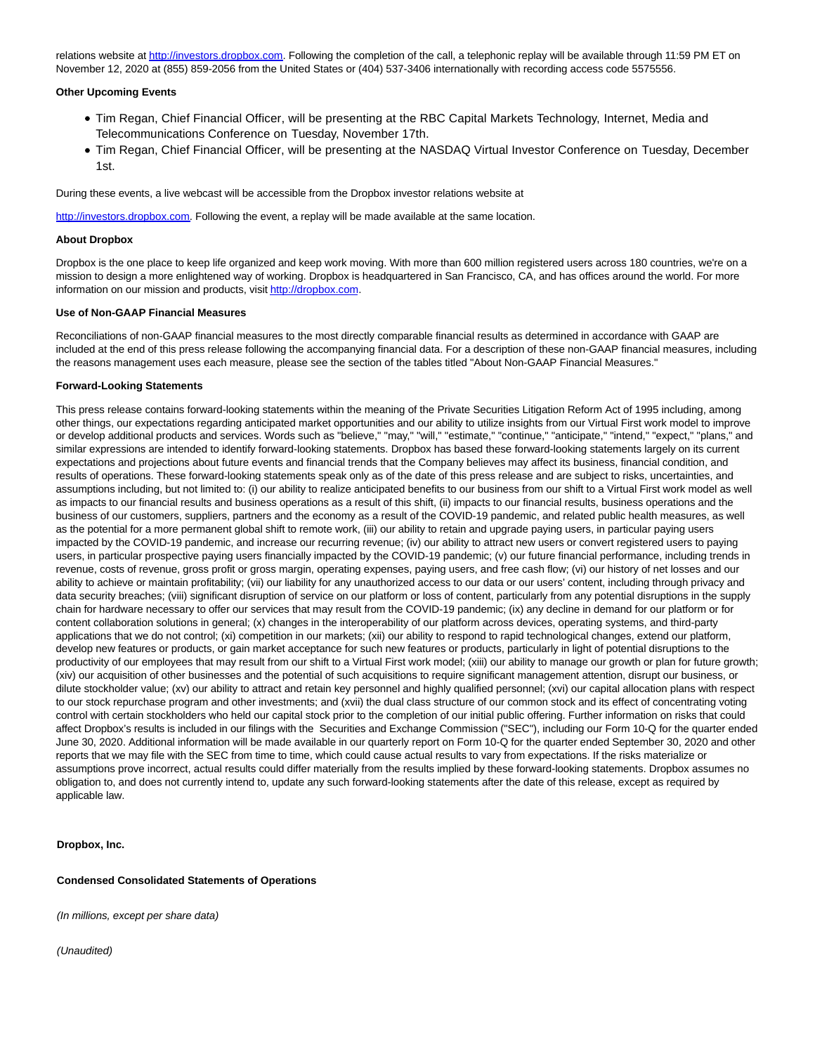relations website a[t http://investors.dropbox.com.](https://cts.businesswire.com/ct/CT?id=smartlink&url=http%3A%2F%2Finvestors.dropbox.com&esheet=52320943&newsitemid=20201105005993&lan=en-US&anchor=http%3A%2F%2Finvestors.dropbox.com&index=2&md5=c73612cf4570cc89b9805d2ee7b86275) Following the completion of the call, a telephonic replay will be available through 11:59 PM ET on November 12, 2020 at (855) 859-2056 from the United States or (404) 537-3406 internationally with recording access code 5575556.

#### **Other Upcoming Events**

- Tim Regan, Chief Financial Officer, will be presenting at the RBC Capital Markets Technology, Internet, Media and Telecommunications Conference on Tuesday, November 17th.
- Tim Regan, Chief Financial Officer, will be presenting at the NASDAQ Virtual Investor Conference on Tuesday, December 1st.

During these events, a live webcast will be accessible from the Dropbox investor relations website at

[http://investors.dropbox.com.](https://cts.businesswire.com/ct/CT?id=smartlink&url=http%3A%2F%2Finvestors.dropbox.com&esheet=52320943&newsitemid=20201105005993&lan=en-US&anchor=http%3A%2F%2Finvestors.dropbox.com&index=3&md5=abfc1826472e54cb293772147d115a18) Following the event, a replay will be made available at the same location.

### **About Dropbox**

Dropbox is the one place to keep life organized and keep work moving. With more than 600 million registered users across 180 countries, we're on a mission to design a more enlightened way of working. Dropbox is headquartered in San Francisco, CA, and has offices around the world. For more information on our mission and products, visi[t http://dropbox.com.](https://cts.businesswire.com/ct/CT?id=smartlink&url=http%3A%2F%2Fdropbox.com&esheet=52320943&newsitemid=20201105005993&lan=en-US&anchor=http%3A%2F%2Fdropbox.com&index=4&md5=bb3f24ea9ca1435a5b72f0a17ef35059)

#### **Use of Non-GAAP Financial Measures**

Reconciliations of non-GAAP financial measures to the most directly comparable financial results as determined in accordance with GAAP are included at the end of this press release following the accompanying financial data. For a description of these non-GAAP financial measures, including the reasons management uses each measure, please see the section of the tables titled "About Non-GAAP Financial Measures."

### **Forward-Looking Statements**

This press release contains forward-looking statements within the meaning of the Private Securities Litigation Reform Act of 1995 including, among other things, our expectations regarding anticipated market opportunities and our ability to utilize insights from our Virtual First work model to improve or develop additional products and services. Words such as "believe," "may," "will," "estimate," "continue," "anticipate," "intend," "expect," "plans," and similar expressions are intended to identify forward-looking statements. Dropbox has based these forward-looking statements largely on its current expectations and projections about future events and financial trends that the Company believes may affect its business, financial condition, and results of operations. These forward-looking statements speak only as of the date of this press release and are subject to risks, uncertainties, and assumptions including, but not limited to: (i) our ability to realize anticipated benefits to our business from our shift to a Virtual First work model as well as impacts to our financial results and business operations as a result of this shift, (ii) impacts to our financial results, business operations and the business of our customers, suppliers, partners and the economy as a result of the COVID-19 pandemic, and related public health measures, as well as the potential for a more permanent global shift to remote work, (iii) our ability to retain and upgrade paying users, in particular paying users impacted by the COVID-19 pandemic, and increase our recurring revenue; (iv) our ability to attract new users or convert registered users to paying users, in particular prospective paying users financially impacted by the COVID-19 pandemic; (v) our future financial performance, including trends in revenue, costs of revenue, gross profit or gross margin, operating expenses, paying users, and free cash flow; (vi) our history of net losses and our ability to achieve or maintain profitability; (vii) our liability for any unauthorized access to our data or our users' content, including through privacy and data security breaches; (viii) significant disruption of service on our platform or loss of content, particularly from any potential disruptions in the supply chain for hardware necessary to offer our services that may result from the COVID-19 pandemic; (ix) any decline in demand for our platform or for content collaboration solutions in general; (x) changes in the interoperability of our platform across devices, operating systems, and third-party applications that we do not control; (xi) competition in our markets; (xii) our ability to respond to rapid technological changes, extend our platform, develop new features or products, or gain market acceptance for such new features or products, particularly in light of potential disruptions to the productivity of our employees that may result from our shift to a Virtual First work model; (xiii) our ability to manage our growth or plan for future growth; (xiv) our acquisition of other businesses and the potential of such acquisitions to require significant management attention, disrupt our business, or dilute stockholder value; (xv) our ability to attract and retain key personnel and highly qualified personnel; (xvi) our capital allocation plans with respect to our stock repurchase program and other investments; and (xvii) the dual class structure of our common stock and its effect of concentrating voting control with certain stockholders who held our capital stock prior to the completion of our initial public offering. Further information on risks that could affect Dropbox's results is included in our filings with the Securities and Exchange Commission ("SEC"), including our Form 10-Q for the quarter ended June 30, 2020. Additional information will be made available in our quarterly report on Form 10-Q for the quarter ended September 30, 2020 and other reports that we may file with the SEC from time to time, which could cause actual results to vary from expectations. If the risks materialize or assumptions prove incorrect, actual results could differ materially from the results implied by these forward-looking statements. Dropbox assumes no obligation to, and does not currently intend to, update any such forward-looking statements after the date of this release, except as required by applicable law.

**Dropbox, Inc.**

#### **Condensed Consolidated Statements of Operations**

(In millions, except per share data)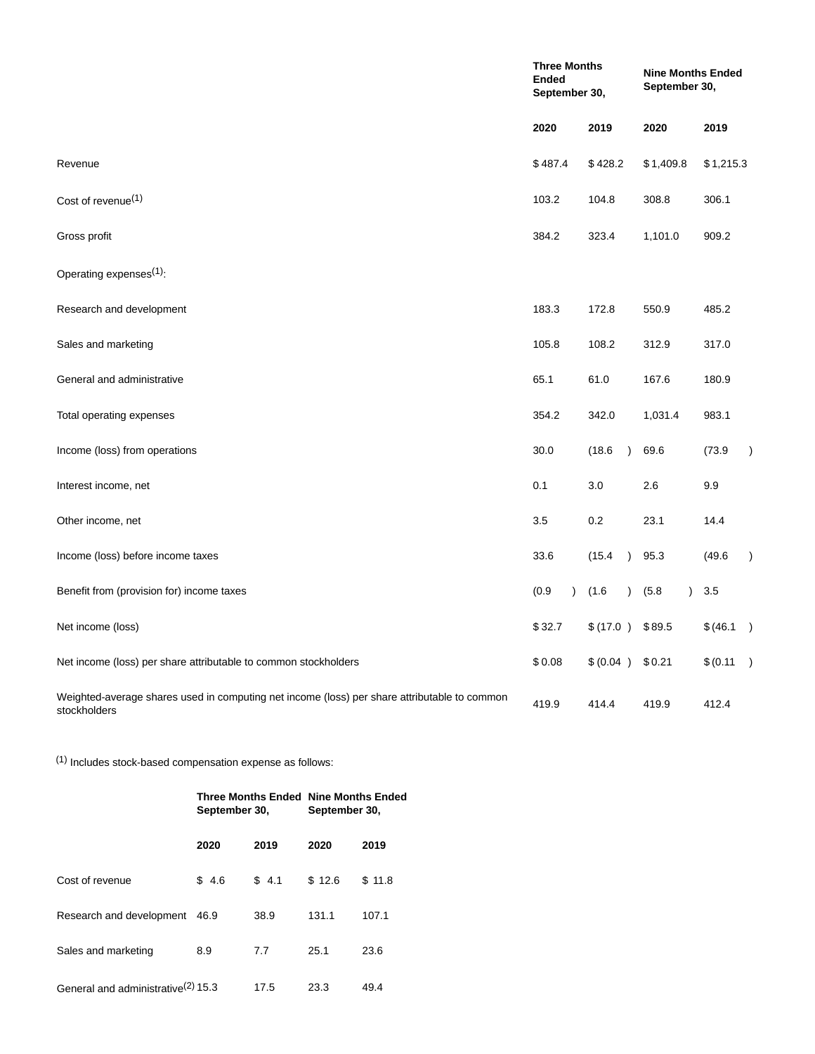|                                                                                                              | <b>Three Months</b><br><b>Ended</b><br>September 30, |                        | <b>Nine Months Ended</b><br>September 30, |           |               |  |  |
|--------------------------------------------------------------------------------------------------------------|------------------------------------------------------|------------------------|-------------------------------------------|-----------|---------------|--|--|
|                                                                                                              | 2020                                                 | 2019                   | 2020                                      | 2019      |               |  |  |
| Revenue                                                                                                      | \$487.4                                              | \$428.2                | \$1,409.8                                 | \$1,215.3 |               |  |  |
| Cost of revenue <sup>(1)</sup>                                                                               | 103.2                                                | 104.8                  | 308.8                                     | 306.1     |               |  |  |
| Gross profit                                                                                                 | 384.2                                                | 323.4                  | 1,101.0                                   | 909.2     |               |  |  |
| Operating expenses <sup>(1)</sup> :                                                                          |                                                      |                        |                                           |           |               |  |  |
| Research and development                                                                                     | 183.3                                                | 172.8                  | 550.9                                     | 485.2     |               |  |  |
| Sales and marketing                                                                                          | 105.8                                                | 108.2                  | 312.9                                     | 317.0     |               |  |  |
| General and administrative                                                                                   | 65.1                                                 | 61.0                   | 167.6                                     | 180.9     |               |  |  |
| Total operating expenses                                                                                     | 354.2                                                | 342.0                  | 1,031.4                                   | 983.1     |               |  |  |
| Income (loss) from operations                                                                                | 30.0                                                 | (18.6)<br>$\lambda$    | 69.6                                      | (73.9)    | $\lambda$     |  |  |
| Interest income, net                                                                                         | 0.1                                                  | 3.0                    | 2.6                                       | 9.9       |               |  |  |
| Other income, net                                                                                            | 3.5                                                  | 0.2                    | 23.1                                      | 14.4      |               |  |  |
| Income (loss) before income taxes                                                                            | 33.6                                                 | (15.4)<br>$\lambda$    | 95.3                                      | (49.6)    | $\mathcal{L}$ |  |  |
| Benefit from (provision for) income taxes                                                                    | (0.9)<br>$\lambda$                                   | (1.6)<br>$\mathcal{E}$ | (5.8)<br>$\lambda$                        | 3.5       |               |  |  |
| Net income (loss)                                                                                            | \$32.7                                               | \$(17.0)               | \$89.5                                    | \$(46.1)  |               |  |  |
| Net income (loss) per share attributable to common stockholders                                              | \$0.08                                               | \$ (0.04 )             | \$0.21                                    | \$ (0.11) |               |  |  |
| Weighted-average shares used in computing net income (loss) per share attributable to common<br>stockholders | 419.9                                                | 414.4                  | 419.9                                     | 412.4     |               |  |  |

(1) Includes stock-based compensation expense as follows:

|                                                | September 30, |       | <b>Three Months Ended Nine Months Ended</b><br>September 30, |        |  |  |
|------------------------------------------------|---------------|-------|--------------------------------------------------------------|--------|--|--|
|                                                | 2020          | 2019  | 2020                                                         | 2019   |  |  |
| Cost of revenue                                | \$4.6         | \$4.1 | \$12.6                                                       | \$11.8 |  |  |
| Research and development                       | 46.9          | 38.9  | 131.1                                                        | 107.1  |  |  |
| Sales and marketing                            | 8.9           | 7.7   | 25.1                                                         | 23.6   |  |  |
| General and administrative <sup>(2)</sup> 15.3 |               | 17.5  | 23.3                                                         | 49.4   |  |  |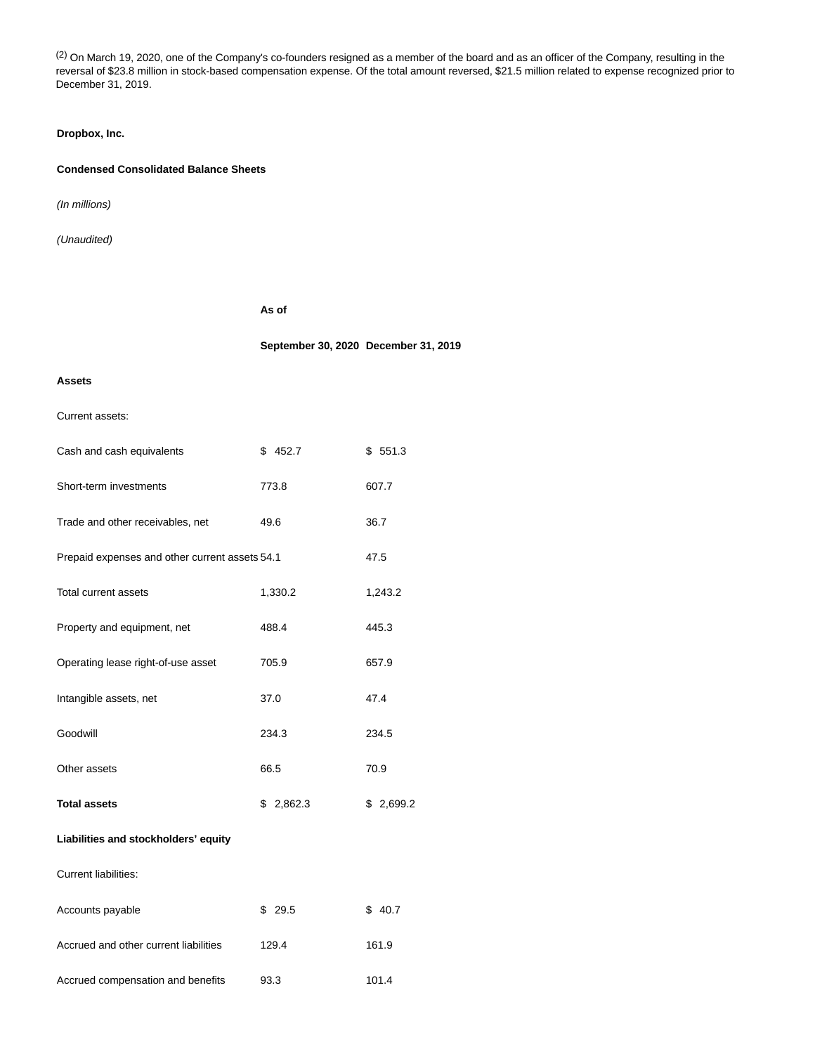(2) On March 19, 2020, one of the Company's co-founders resigned as a member of the board and as an officer of the Company, resulting in the reversal of \$23.8 million in stock-based compensation expense. Of the total amount reversed, \$21.5 million related to expense recognized prior to December 31, 2019.

## **Dropbox, Inc.**

## **Condensed Consolidated Balance Sheets**

(In millions)

(Unaudited)

**As of**

**September 30, 2020 December 31, 2019**

### **Assets**

## Current assets:

| Cash and cash equivalents                      | \$452.7   | \$551.3   |
|------------------------------------------------|-----------|-----------|
| Short-term investments                         | 773.8     | 607.7     |
| Trade and other receivables, net               | 49.6      | 36.7      |
| Prepaid expenses and other current assets 54.1 |           | 47.5      |
| Total current assets                           | 1,330.2   | 1,243.2   |
| Property and equipment, net                    | 488.4     | 445.3     |
| Operating lease right-of-use asset             | 705.9     | 657.9     |
| Intangible assets, net                         | 37.0      | 47.4      |
| Goodwill                                       | 234.3     | 234.5     |
| Other assets                                   | 66.5      | 70.9      |
| <b>Total assets</b>                            | \$2,862.3 | \$2,699.2 |
| Liabilities and stockholders' equity           |           |           |
| <b>Current liabilities:</b>                    |           |           |
| Accounts payable                               | \$29.5    | \$40.7    |
| Accrued and other current liabilities          | 129.4     | 161.9     |
| Accrued compensation and benefits              | 93.3      | 101.4     |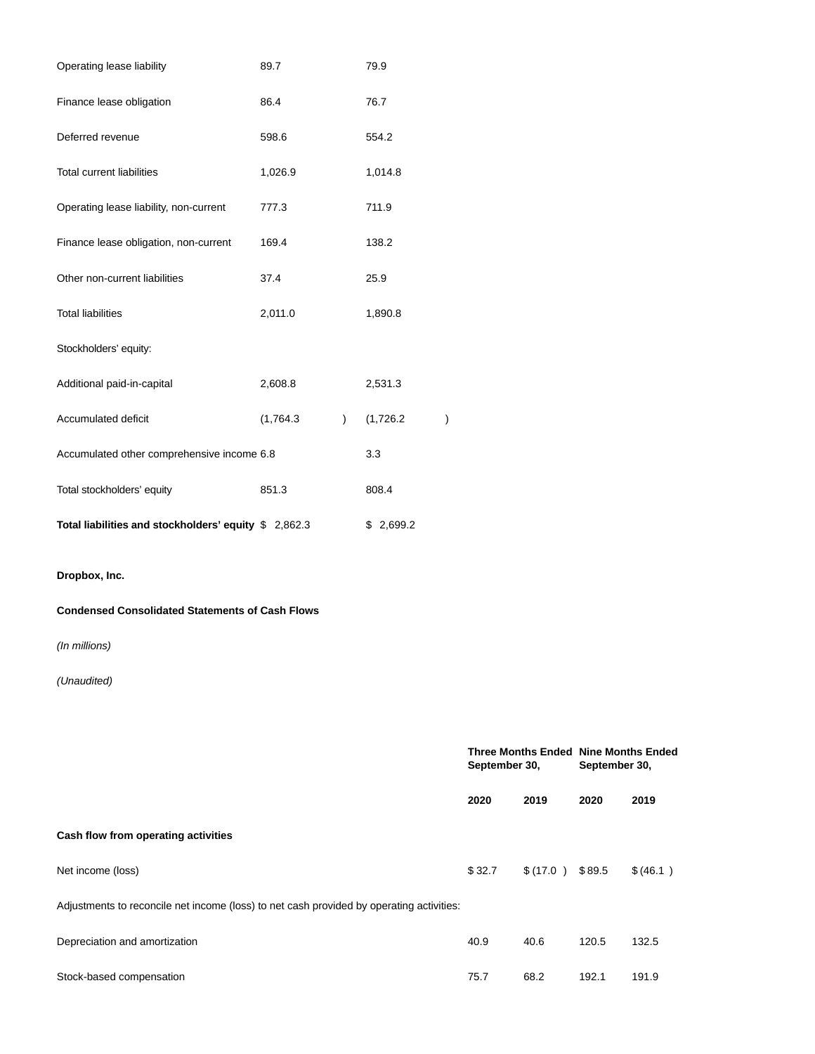| Operating lease liability                              | 89.7      |                | 79.9      |   |  |  |  |  |  |  |  |
|--------------------------------------------------------|-----------|----------------|-----------|---|--|--|--|--|--|--|--|
| Finance lease obligation                               | 86.4      |                | 76.7      |   |  |  |  |  |  |  |  |
| Deferred revenue                                       | 598.6     |                | 554.2     |   |  |  |  |  |  |  |  |
| <b>Total current liabilities</b>                       | 1,026.9   |                | 1,014.8   |   |  |  |  |  |  |  |  |
| Operating lease liability, non-current                 | 777.3     |                | 711.9     |   |  |  |  |  |  |  |  |
| Finance lease obligation, non-current                  | 169.4     |                | 138.2     |   |  |  |  |  |  |  |  |
| Other non-current liabilities                          | 37.4      |                | 25.9      |   |  |  |  |  |  |  |  |
| <b>Total liabilities</b>                               | 2,011.0   |                | 1,890.8   |   |  |  |  |  |  |  |  |
| Stockholders' equity:                                  |           |                |           |   |  |  |  |  |  |  |  |
| Additional paid-in-capital                             | 2,608.8   |                | 2,531.3   |   |  |  |  |  |  |  |  |
| Accumulated deficit                                    | (1,764.3) | $\overline{)}$ | (1,726.2) | ) |  |  |  |  |  |  |  |
| Accumulated other comprehensive income 6.8             |           |                | 3.3       |   |  |  |  |  |  |  |  |
| Total stockholders' equity                             | 851.3     |                | 808.4     |   |  |  |  |  |  |  |  |
| Total liabilities and stockholders' equity \$ 2,862.3  |           |                | \$2,699.2 |   |  |  |  |  |  |  |  |
| Dropbox, Inc.                                          |           |                |           |   |  |  |  |  |  |  |  |
| <b>Condensed Consolidated Statements of Cash Flows</b> |           |                |           |   |  |  |  |  |  |  |  |

(In millions)

|                                                                                          | September 30, |          | <b>Three Months Ended Nine Months Ended</b><br>September 30, |          |  |  |
|------------------------------------------------------------------------------------------|---------------|----------|--------------------------------------------------------------|----------|--|--|
|                                                                                          | 2020          | 2019     | 2020                                                         | 2019     |  |  |
| Cash flow from operating activities                                                      |               |          |                                                              |          |  |  |
| Net income (loss)                                                                        | \$32.7        | \$(17.0) | \$89.5                                                       | \$(46.1) |  |  |
| Adjustments to reconcile net income (loss) to net cash provided by operating activities: |               |          |                                                              |          |  |  |
| Depreciation and amortization                                                            | 40.9          | 40.6     | 120.5                                                        | 132.5    |  |  |
| Stock-based compensation                                                                 | 75.7          | 68.2     | 192.1                                                        | 191.9    |  |  |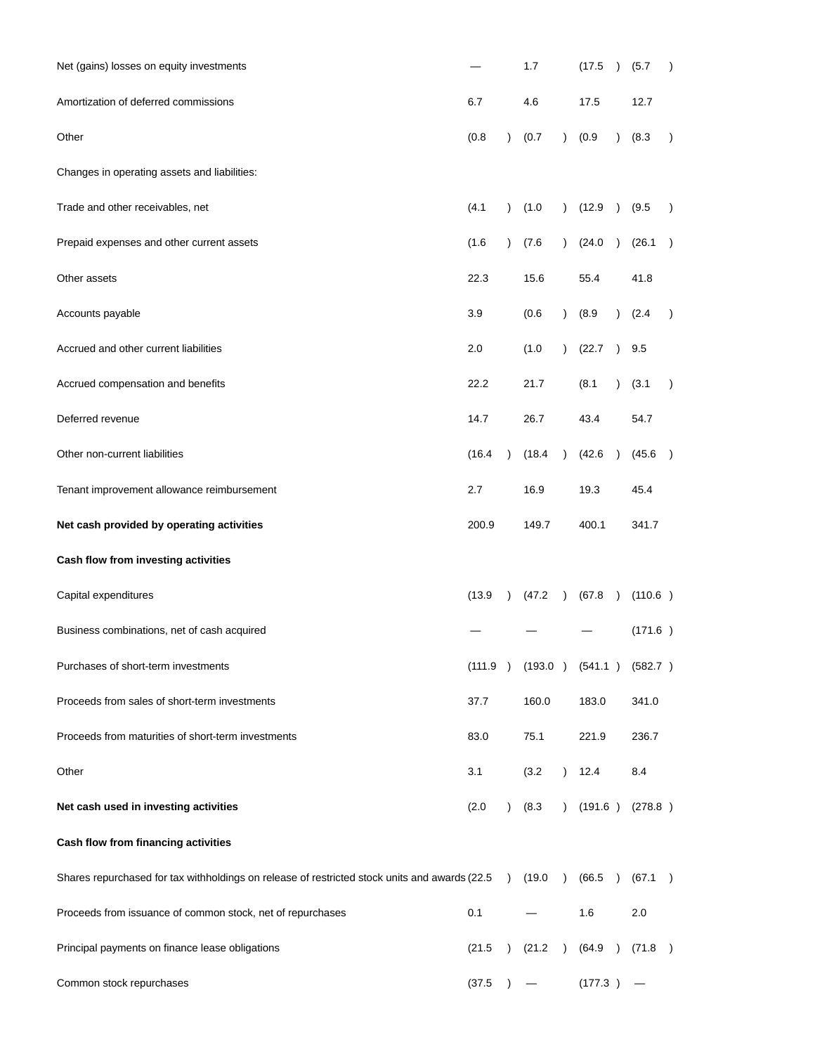| Net (gains) losses on equity investments                                                      |        |           | 1.7                                     |               | (17.5)  | $\left( \right)$ | (5.7)   | $\lambda$     |
|-----------------------------------------------------------------------------------------------|--------|-----------|-----------------------------------------|---------------|---------|------------------|---------|---------------|
| Amortization of deferred commissions                                                          | 6.7    |           | 4.6                                     |               | 17.5    |                  | 12.7    |               |
| Other                                                                                         | (0.8)  | $\lambda$ | (0.7)                                   | $\lambda$     | (0.9)   | $\lambda$        | (8.3)   | $\lambda$     |
| Changes in operating assets and liabilities:                                                  |        |           |                                         |               |         |                  |         |               |
| Trade and other receivables, net                                                              | (4.1)  | $\lambda$ | (1.0)                                   | $\mathcal{L}$ | (12.9)  | $\lambda$        | (9.5)   | $\lambda$     |
| Prepaid expenses and other current assets                                                     | (1.6)  | $\lambda$ | (7.6)                                   | $\mathcal{L}$ | (24.0)  | $\lambda$        | (26.1)  | $\rightarrow$ |
| Other assets                                                                                  | 22.3   |           | 15.6                                    |               | 55.4    |                  | 41.8    |               |
| Accounts payable                                                                              | 3.9    |           | (0.6)                                   | $\lambda$     | (8.9)   | $\lambda$        | (2.4)   | $\rightarrow$ |
| Accrued and other current liabilities                                                         | 2.0    |           | (1.0)                                   | $\mathcal{L}$ | (22.7)  | $\lambda$        | 9.5     |               |
| Accrued compensation and benefits                                                             | 22.2   |           | 21.7                                    |               | (8.1)   | $\lambda$        | (3.1)   | $\lambda$     |
| Deferred revenue                                                                              | 14.7   |           | 26.7                                    |               | 43.4    |                  | 54.7    |               |
| Other non-current liabilities                                                                 | (16.4) |           | (18.4)                                  | $\lambda$     | (42.6)  |                  | (45.6)  | $\rightarrow$ |
| Tenant improvement allowance reimbursement                                                    | 2.7    |           | 16.9                                    |               | 19.3    |                  | 45.4    |               |
| Net cash provided by operating activities                                                     | 200.9  |           | 149.7                                   |               | 400.1   |                  | 341.7   |               |
| Cash flow from investing activities                                                           |        |           |                                         |               |         |                  |         |               |
| Capital expenditures                                                                          | (13.9) | $\lambda$ | (47.2)                                  | $\lambda$     | (67.8)  | $\lambda$        | (110.6) |               |
| Business combinations, net of cash acquired                                                   |        |           |                                         |               |         |                  | (171.6) |               |
| Purchases of short-term investments                                                           |        |           | $(111.9)$ $(193.0)$ $(541.1)$ $(582.7)$ |               |         |                  |         |               |
| Proceeds from sales of short-term investments                                                 | 37.7   |           | 160.0                                   |               | 183.0   |                  | 341.0   |               |
| Proceeds from maturities of short-term investments                                            | 83.0   |           | 75.1                                    |               | 221.9   |                  | 236.7   |               |
| Other                                                                                         | 3.1    |           | (3.2)                                   | $\lambda$     | 12.4    |                  | 8.4     |               |
| Net cash used in investing activities                                                         | (2.0)  | $\lambda$ | (8.3)                                   | $\lambda$     | (191.6) |                  | (278.8) |               |
| Cash flow from financing activities                                                           |        |           |                                         |               |         |                  |         |               |
| Shares repurchased for tax withholdings on release of restricted stock units and awards (22.5 |        | $\lambda$ | (19.0)                                  | $\lambda$     | (66.5)  |                  | (67.1)  | $\rightarrow$ |
| Proceeds from issuance of common stock, net of repurchases                                    | 0.1    |           |                                         |               | 1.6     |                  | 2.0     |               |
| Principal payments on finance lease obligations                                               | (21.5) | $\lambda$ | (21.2)                                  | $\lambda$     | (64.9)  | $\lambda$        | (71.8)  | $\rightarrow$ |
| Common stock repurchases                                                                      | (37.5) |           |                                         |               | (177.3) |                  |         |               |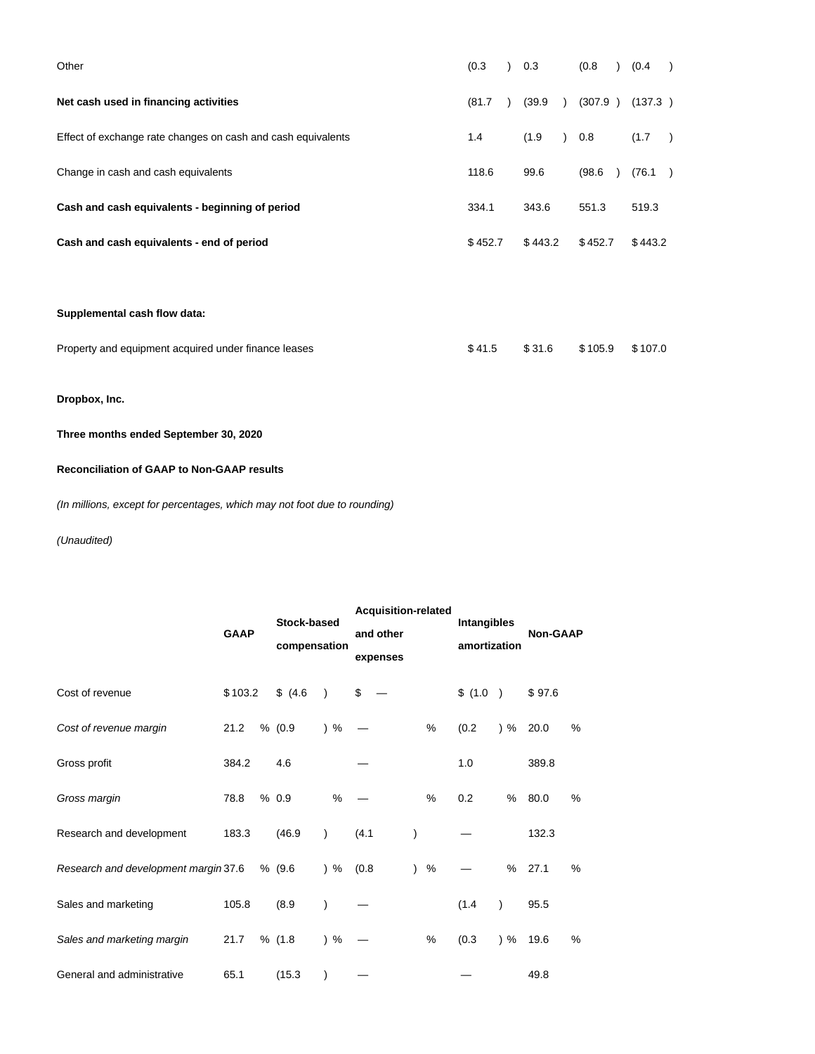| Other                                                        | (0.3)   | 0.3     | (0.8)   | (0.4)   | $\rightarrow$ |
|--------------------------------------------------------------|---------|---------|---------|---------|---------------|
| Net cash used in financing activities                        | (81.7)  | (39.9)  | (307.9) | (137.3) |               |
| Effect of exchange rate changes on cash and cash equivalents | 1.4     | (1.9)   | ) 0.8   | (1.7)   | $\rightarrow$ |
| Change in cash and cash equivalents                          | 118.6   | 99.6    | (98.6)  | (76.1)  | $\rightarrow$ |
| Cash and cash equivalents - beginning of period              | 334.1   | 343.6   | 551.3   | 519.3   |               |
| Cash and cash equivalents - end of period                    | \$452.7 | \$443.2 | \$452.7 | \$443.2 |               |
|                                                              |         |         |         |         |               |

**Supplemental cash flow data:**

| Property and equipment acquired under finance leases |  |  | \$41.5 \$31.6 \$105.9 \$107.0 |  |
|------------------------------------------------------|--|--|-------------------------------|--|
|------------------------------------------------------|--|--|-------------------------------|--|

**Dropbox, Inc.**

**Three months ended September 30, 2020**

# **Reconciliation of GAAP to Non-GAAP results**

(In millions, except for percentages, which may not foot due to rounding)

|                                      | <b>GAAP</b> | <b>Stock-based</b><br>compensation |               | <b>Acquisition-related</b><br>and other<br>expenses |                | Intangibles<br>amortization |           | <b>Non-GAAP</b> |   |  |
|--------------------------------------|-------------|------------------------------------|---------------|-----------------------------------------------------|----------------|-----------------------------|-----------|-----------------|---|--|
| Cost of revenue                      | \$103.2     | \$ (4.6)                           | $\lambda$     | \$                                                  |                | \$ (1.0)                    |           | \$97.6          |   |  |
| Cost of revenue margin               | 21.2        | % (0.9)                            | $)$ %         |                                                     | %              | (0.2)                       | $)$ %     | 20.0            | % |  |
| Gross profit                         | 384.2       | 4.6                                |               |                                                     |                | 1.0                         |           | 389.8           |   |  |
| Gross margin                         | 78.8        | % 0.9                              | %             |                                                     | %              | 0.2                         | $\%$      | 80.0            | % |  |
| Research and development             | 183.3       | (46.9)                             | $\mathcal{E}$ | (4.1)                                               |                |                             |           | 132.3           |   |  |
| Research and development margin 37.6 |             | % (9.6)                            | $)$ %         | (0.8)                                               | %<br>$\lambda$ |                             | %         | 27.1            | % |  |
| Sales and marketing                  | 105.8       | (8.9)                              | )             |                                                     |                | (1.4)                       | $\lambda$ | 95.5            |   |  |
| Sales and marketing margin           | 21.7        | % (1.8)                            | $)$ %         |                                                     | %              | (0.3)                       | $)$ %     | 19.6            | % |  |
| General and administrative           | 65.1        | (15.3)                             | $\mathcal{E}$ |                                                     |                |                             |           | 49.8            |   |  |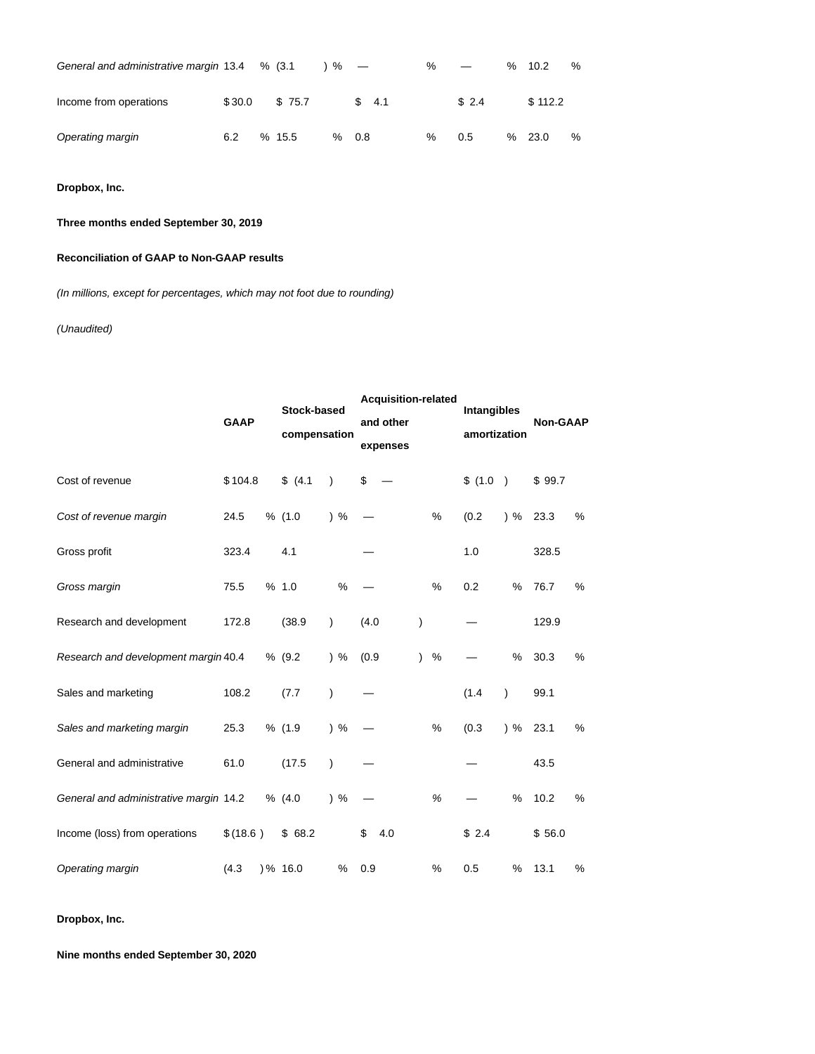| General and administrative margin 13.4 |        | % (3.1) | % $-$ |       | $\%$ |       | ℅ | 10.2    | % |
|----------------------------------------|--------|---------|-------|-------|------|-------|---|---------|---|
| Income from operations                 | \$30.0 | \$75.7  |       | \$4.1 |      | \$2.4 |   | \$112.2 |   |
| Operating margin                       | 6.2    | %15.5   | ℅     | 0.8   | $\%$ | 0.5   | % | 23.0    | % |

**Dropbox, Inc.**

## **Three months ended September 30, 2019**

## **Reconciliation of GAAP to Non-GAAP results**

(In millions, except for percentages, which may not foot due to rounding)

## (Unaudited)

|                                        | <b>GAAP</b> | <b>Stock-based</b><br>compensation |               | <b>Acquisition-related</b><br>and other<br>expenses |               | Intangibles<br>amortization |          | Non-GAAP           |        |      |
|----------------------------------------|-------------|------------------------------------|---------------|-----------------------------------------------------|---------------|-----------------------------|----------|--------------------|--------|------|
| Cost of revenue                        | \$104.8     | \$(4.1)                            | $\mathcal{E}$ | \$                                                  |               |                             | \$ (1.0) |                    | \$99.7 |      |
| Cost of revenue margin                 | 24.5        | % (1.0)                            | $)$ %         |                                                     |               | %                           | (0.2)    | $\frac{9}{6}$ 23.3 |        | $\%$ |
| Gross profit                           | 323.4       | 4.1                                |               |                                                     |               |                             | 1.0      |                    | 328.5  |      |
| Gross margin                           | 75.5        | % 1.0                              | %             |                                                     |               | $\%$                        | 0.2      | $\%$               | 76.7   | %    |
| Research and development               | 172.8       | (38.9)                             | $\mathcal{E}$ | (4.0)                                               | $\mathcal{E}$ |                             |          |                    | 129.9  |      |
| Research and development margin 40.4   |             | % (9.2)                            | $)$ %         | (0.9)                                               | $\lambda$     | %                           |          | %                  | 30.3   | %    |
| Sales and marketing                    | 108.2       | (7.7)                              | $\mathcal{E}$ |                                                     |               |                             | (1.4)    | $\lambda$          | 99.1   |      |
| Sales and marketing margin             | 25.3        | % (1.9)                            | $)$ %         |                                                     |               | %                           | (0.3)    | $\frac{9}{6}$      | 23.1   | %    |
| General and administrative             | 61.0        | (17.5)                             | $\mathcal{E}$ |                                                     |               |                             |          |                    | 43.5   |      |
| General and administrative margin 14.2 |             | % (4.0)                            | $)$ %         |                                                     |               | $\%$                        |          | $\%$               | 10.2   | %    |
| Income (loss) from operations          | \$ (18.6)   | \$68.2                             |               | \$<br>4.0                                           |               |                             | \$2.4    |                    | \$56.0 |      |
| Operating margin                       | (4.3)       | $) \% 16.0$                        | $\%$          | 0.9                                                 |               | %                           | 0.5      | %                  | 13.1   | %    |

**Dropbox, Inc.**

**Nine months ended September 30, 2020**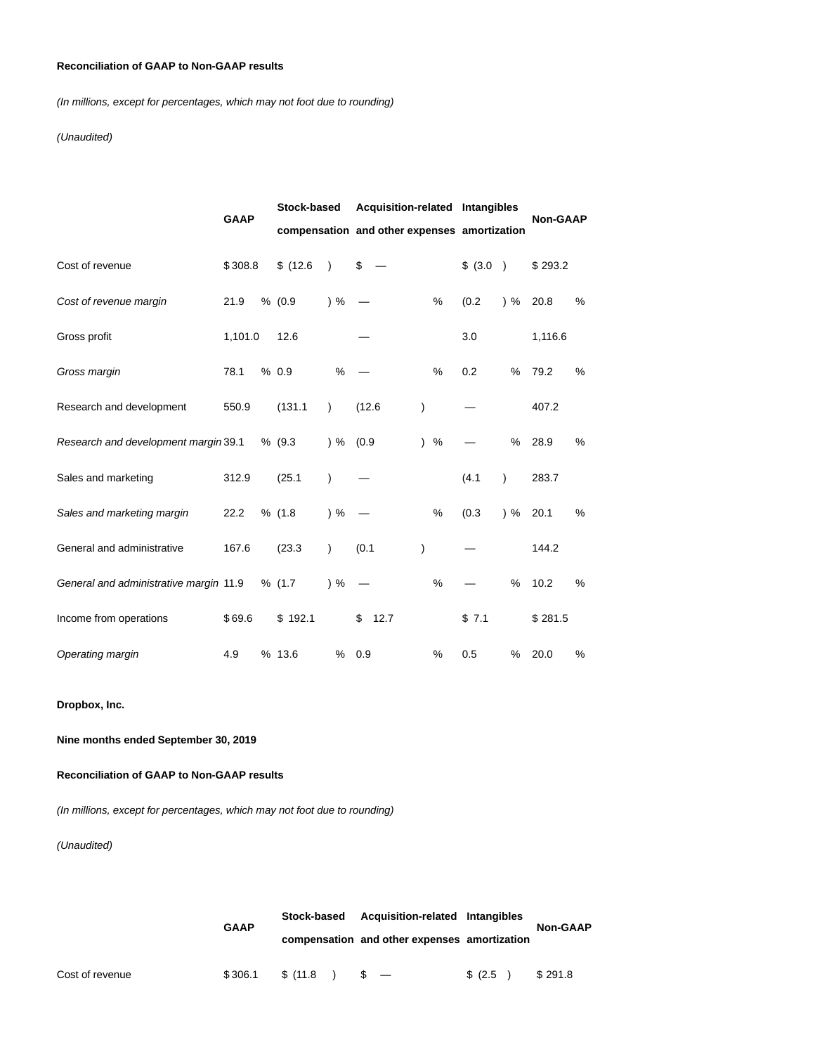## **Reconciliation of GAAP to Non-GAAP results**

(In millions, except for percentages, which may not foot due to rounding)

### (Unaudited)

|                                        | <b>GAAP</b> | Stock-based                                  |               | Acquisition-related Intangibles |               |      |          |               | <b>Non-GAAP</b> |   |
|----------------------------------------|-------------|----------------------------------------------|---------------|---------------------------------|---------------|------|----------|---------------|-----------------|---|
|                                        |             | compensation and other expenses amortization |               |                                 |               |      |          |               |                 |   |
| Cost of revenue                        | \$308.8     | \$(12.6)                                     | $\lambda$     | \$                              |               |      | \$ (3.0) | $\rightarrow$ | \$293.2         |   |
| Cost of revenue margin                 | 21.9        | % (0.9)                                      | $)$ %         |                                 |               | %    | (0.2)    | $)$ %         | 20.8            | % |
| Gross profit                           | 1,101.0     | 12.6                                         |               |                                 |               |      | 3.0      |               | 1,116.6         |   |
| Gross margin                           | 78.1        | % 0.9                                        | %             |                                 |               | %    | 0.2      | %             | 79.2            | % |
| Research and development               | 550.9       | (131.1)                                      | $\lambda$     | (12.6)                          | )             |      |          |               | 407.2           |   |
| Research and development margin 39.1   |             | % (9.3)                                      | $\frac{9}{6}$ | (0.9)                           | $\mathcal{L}$ | $\%$ |          | %             | 28.9            | % |
| Sales and marketing                    | 312.9       | (25.1)                                       | $\lambda$     |                                 |               |      | (4.1)    | $\lambda$     | 283.7           |   |
| Sales and marketing margin             | 22.2        | % (1.8)                                      | ) %           |                                 |               | %    | (0.3)    | $)$ %         | 20.1            | % |
| General and administrative             | 167.6       | (23.3)                                       | $\lambda$     | (0.1)                           | )             |      |          |               | 144.2           |   |
| General and administrative margin 11.9 |             | % (1.7)                                      | $)$ %         |                                 |               | %    |          | %             | 10.2            | % |
| Income from operations                 | \$69.6      | \$192.1                                      |               | 12.7<br>\$                      |               |      | \$7.1    |               | \$281.5         |   |
| Operating margin                       | 4.9         | % 13.6                                       | %             | 0.9                             |               | %    | 0.5      | %             | 20.0            | % |

**Dropbox, Inc.**

# **Nine months ended September 30, 2019**

**Reconciliation of GAAP to Non-GAAP results**

(In millions, except for percentages, which may not foot due to rounding)

|                 |             | Acquisition-related Intangibles<br>Stock-based |                                              |         |                 |  |
|-----------------|-------------|------------------------------------------------|----------------------------------------------|---------|-----------------|--|
|                 | <b>GAAP</b> |                                                | compensation and other expenses amortization |         | <b>Non-GAAP</b> |  |
| Cost of revenue | \$306.1     | \$ (11.8)                                      | $\sqrt{3}$ $-$                               | \$(2.5) | \$291.8         |  |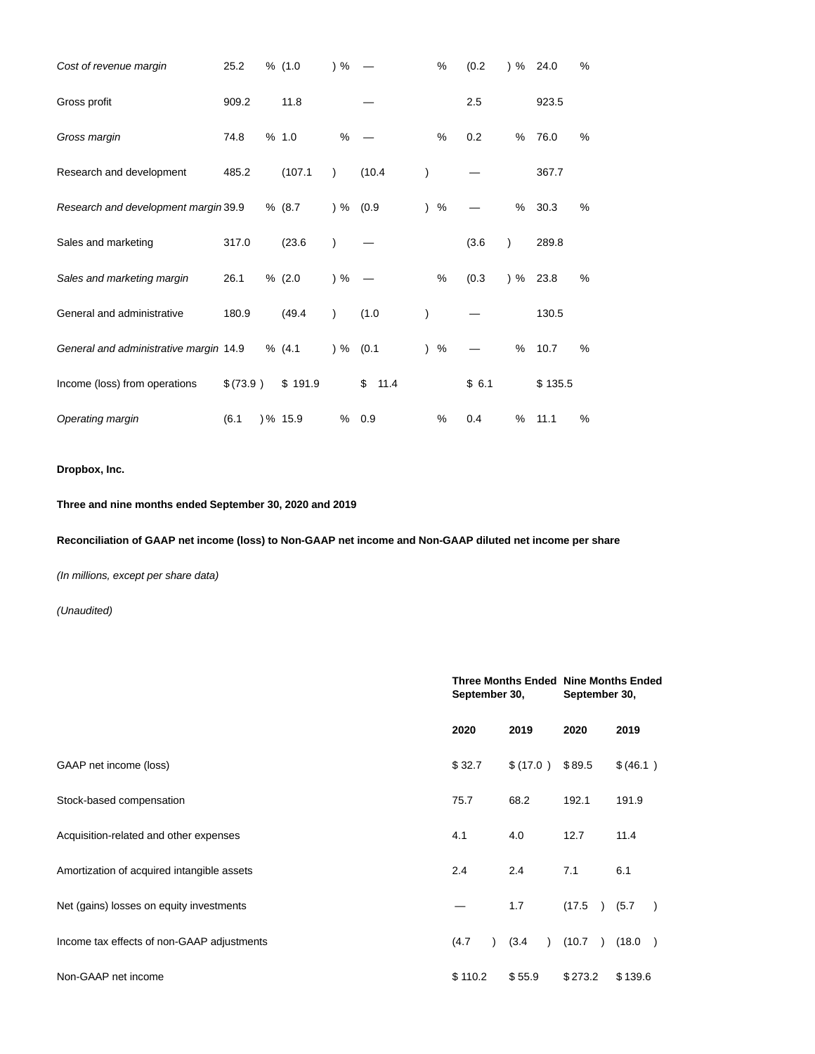| Cost of revenue margin                 | 25.2     | % (1.0) | $)$ %       |            | %    | (0.2) | $\frac{9}{6}$ 24.0 |         | % |
|----------------------------------------|----------|---------|-------------|------------|------|-------|--------------------|---------|---|
| Gross profit                           | 909.2    | 11.8    |             |            |      | 2.5   |                    | 923.5   |   |
| Gross margin                           | 74.8     | % 1.0   | %           |            | %    | 0.2   | $\%$               | 76.0    | % |
| Research and development               | 485.2    | (107.1) | $\lambda$   | (10.4)     |      |       |                    | 367.7   |   |
| Research and development margin 39.9   |          | % (8.7) | $) \% (0.9$ |            | $\%$ |       | $\%$               | 30.3    | % |
| Sales and marketing                    | 317.0    | (23.6)  |             |            |      | (3.6) | $\lambda$          | 289.8   |   |
| Sales and marketing margin             | 26.1     | % (2.0) | ) %         |            | %    | (0.3) | $\frac{9}{6}$ 23.8 |         | % |
| General and administrative             | 180.9    | (49.4)  | $\lambda$   | (1.0)      |      |       |                    | 130.5   |   |
| General and administrative margin 14.9 |          | % (4.1) | $)$ % (0.1  |            | %    |       | $\%$               | 10.7    | % |
| Income (loss) from operations          | \$(73.9) | \$191.9 |             | 11.4<br>\$ |      | \$6.1 |                    | \$135.5 |   |
| Operating margin                       | (6.1)    | )% 15.9 | %           | 0.9        | %    | 0.4   | %                  | 11.1    | % |

# **Dropbox, Inc.**

**Three and nine months ended September 30, 2020 and 2019**

**Reconciliation of GAAP net income (loss) to Non-GAAP net income and Non-GAAP diluted net income per share**

(In millions, except per share data)

|                                            | <b>Three Months Ended Nine Months Ended</b><br>September 30, |                  | September 30,           |                         |  |
|--------------------------------------------|--------------------------------------------------------------|------------------|-------------------------|-------------------------|--|
|                                            | 2020                                                         | 2019             | 2020                    | 2019                    |  |
| GAAP net income (loss)                     | \$32.7                                                       | \$ (17.0) \$89.5 |                         | \$(46.1)                |  |
| Stock-based compensation                   | 75.7                                                         | 68.2             | 192.1                   | 191.9                   |  |
| Acquisition-related and other expenses     | 4.1                                                          | 4.0              | 12.7                    | 11.4                    |  |
| Amortization of acquired intangible assets | 2.4                                                          | 2.4              | 7.1                     | 6.1                     |  |
| Net (gains) losses on equity investments   |                                                              | 1.7              | (17.5)<br>$\lambda$     | (5.7)<br>$\rightarrow$  |  |
| Income tax effects of non-GAAP adjustments | (4.7)                                                        | (3.4)            | (10.7)<br>$\rightarrow$ | (18.0)<br>$\rightarrow$ |  |
| Non-GAAP net income                        | \$110.2                                                      | \$55.9           | \$273.2                 | \$139.6                 |  |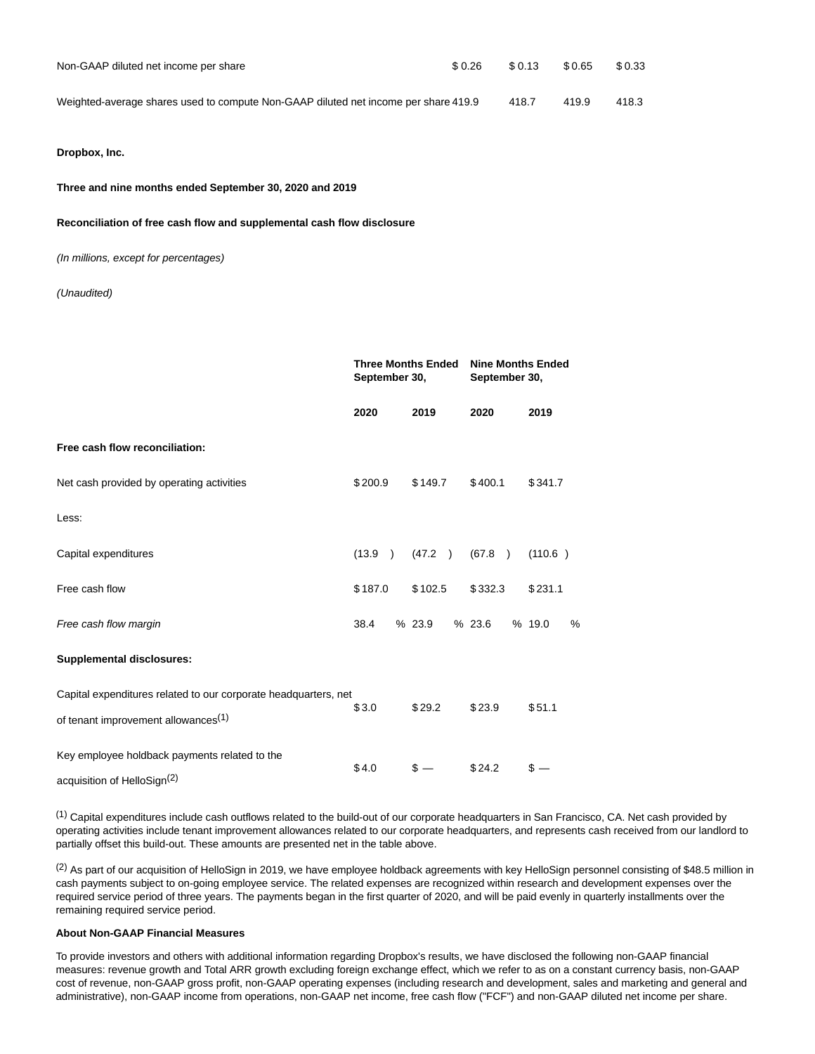| Non-GAAP diluted net income per share                                               | \$ 0.26 | \$ 0.13 | \$0.65 | \$0.33 |
|-------------------------------------------------------------------------------------|---------|---------|--------|--------|
| Weighted-average shares used to compute Non-GAAP diluted net income per share 419.9 |         | 418.7   | 419.9  | 418.3  |

## **Dropbox, Inc.**

#### **Three and nine months ended September 30, 2020 and 2019**

#### **Reconciliation of free cash flow and supplemental cash flow disclosure**

(In millions, except for percentages)

### (Unaudited)

|                                                                                                                    | September 30, | <b>Three Months Ended</b> | <b>Nine Months Ended</b><br>September 30, |             |  |
|--------------------------------------------------------------------------------------------------------------------|---------------|---------------------------|-------------------------------------------|-------------|--|
|                                                                                                                    | 2020          | 2019                      | 2020                                      | 2019        |  |
| Free cash flow reconciliation:                                                                                     |               |                           |                                           |             |  |
| Net cash provided by operating activities                                                                          | \$200.9       | \$149.7                   | \$400.1                                   | \$341.7     |  |
| Less:                                                                                                              |               |                           |                                           |             |  |
| Capital expenditures                                                                                               | (13.9)        | (47.2) (67.8)             |                                           | (110.6)     |  |
| Free cash flow                                                                                                     | \$187.0       | \$102.5                   | \$332.3                                   | \$231.1     |  |
| Free cash flow margin                                                                                              | 38.4          | %23.9                     | %23.6                                     | % 19.0<br>% |  |
| <b>Supplemental disclosures:</b>                                                                                   |               |                           |                                           |             |  |
| Capital expenditures related to our corporate headquarters, net<br>of tenant improvement allowances <sup>(1)</sup> | \$3.0         | \$29.2                    | \$23.9                                    | \$51.1      |  |
| Key employee holdback payments related to the<br>acquisition of HelloSign <sup>(2)</sup>                           | \$4.0         | $s -$                     | \$24.2                                    | $s -$       |  |

(1) Capital expenditures include cash outflows related to the build-out of our corporate headquarters in San Francisco, CA. Net cash provided by operating activities include tenant improvement allowances related to our corporate headquarters, and represents cash received from our landlord to partially offset this build-out. These amounts are presented net in the table above.

 $(2)$  As part of our acquisition of HelloSign in 2019, we have employee holdback agreements with key HelloSign personnel consisting of \$48.5 million in cash payments subject to on-going employee service. The related expenses are recognized within research and development expenses over the required service period of three years. The payments began in the first quarter of 2020, and will be paid evenly in quarterly installments over the remaining required service period.

#### **About Non-GAAP Financial Measures**

To provide investors and others with additional information regarding Dropbox's results, we have disclosed the following non-GAAP financial measures: revenue growth and Total ARR growth excluding foreign exchange effect, which we refer to as on a constant currency basis, non-GAAP cost of revenue, non-GAAP gross profit, non-GAAP operating expenses (including research and development, sales and marketing and general and administrative), non-GAAP income from operations, non-GAAP net income, free cash flow ("FCF") and non-GAAP diluted net income per share.